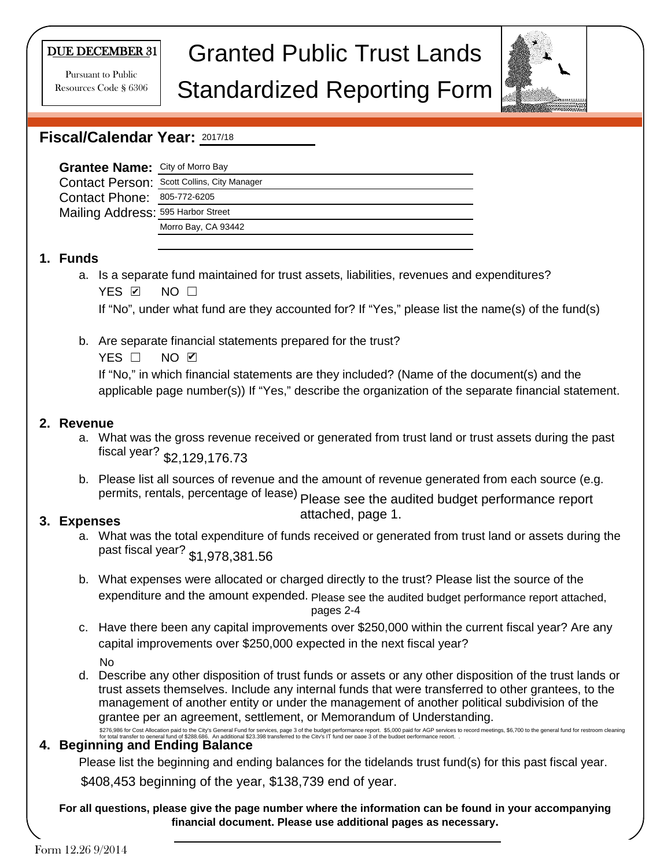#### DUE DECEMBER 31

Pursuant to Public Resources Code § 6306

# Granted Public Trust Lands

### Standardized Reporting Form



#### **Fiscal/Calendar Year:**  2017/18

| Grantee Name: City of Morro Bay    |                                             |
|------------------------------------|---------------------------------------------|
|                                    | Contact Person: Scott Collins, City Manager |
| Contact Phone: 805-772-6205        |                                             |
| Mailing Address: 595 Harbor Street |                                             |
|                                    | Morro Bay, CA 93442                         |
|                                    |                                             |

#### **1. Funds**

a. Is a separate fund maintained for trust assets, liabilities, revenues and expenditures? YES ☑ NO □

If "No", under what fund are they accounted for? If "Yes," please list the name(s) of the fund(s)

b. Are separate financial statements prepared for the trust?

YES □ NO ☑

If "No," in which financial statements are they included? (Name of the document(s) and the applicable page number(s)) If "Yes," describe the organization of the separate financial statement.

#### **2. Revenue**

- a. What was the gross revenue received or generated from trust land or trust assets during the past fiscal year? \$2,129,176.73
- b. Please list all sources of revenue and the amount of revenue generated from each source (e.g. permits, rentals, percentage of lease) Please see the audited budget performance report

#### **3. Expenses**

attached, page 1.

- a. What was the total expenditure of funds received or generated from trust land or assets during the past fiscal year? \$1,978,381.56
- b. What expenses were allocated or charged directly to the trust? Please list the source of the expenditure and the amount expended. Please see the audited budget performance report attached, pages 2-4
- c. Have there been any capital improvements over \$250,000 within the current fiscal year? Are any capital improvements over \$250,000 expected in the next fiscal year?

No

d. Describe any other disposition of trust funds or assets or any other disposition of the trust lands or trust assets themselves. Include any internal funds that were transferred to other grantees, to the management of another entity or under the management of another political subdivision of the grantee per an agreement, settlement, or Memorandum of Understanding. \$276,986 for Cost Allocation paid to the City's General Fund for services, page 3 of the budget performance report. \$5,000 paid for AGP services to record meetings, \$6,700 to the general fund for restroom cleaning<br>for tota

#### **4. Beginning and Ending Balance**

Please list the beginning and ending balances for the tidelands trust fund(s) for this past fiscal year.

\$408,453 beginning of the year, \$138,739 end of year.

#### **For all questions, please give the page number where the information can be found in your accompanying financial document. Please use additional pages as necessary.**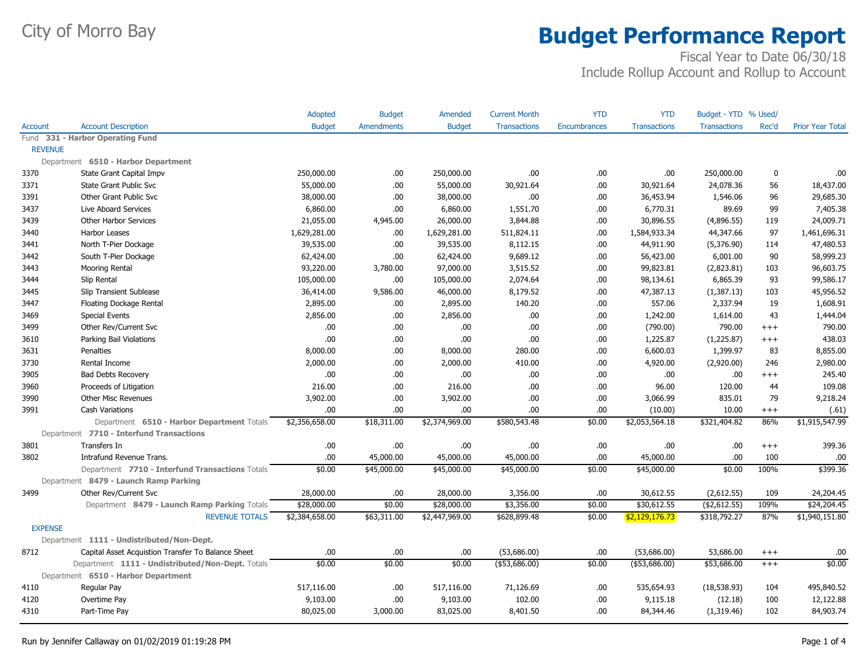|                |                                                    | Adopted        | <b>Budget</b>     | Amended        | <b>Current Month</b> | <b>YTD</b>          | <b>YTD</b>          | Budget - YTD % Used/ |          |                         |
|----------------|----------------------------------------------------|----------------|-------------------|----------------|----------------------|---------------------|---------------------|----------------------|----------|-------------------------|
| <b>Account</b> | <b>Account Description</b>                         | <b>Budget</b>  | <b>Amendments</b> | <b>Budget</b>  | <b>Transactions</b>  | <b>Encumbrances</b> | <b>Transactions</b> | <b>Transactions</b>  | Rec'd    | <b>Prior Year Total</b> |
|                | Fund 331 - Harbor Operating Fund                   |                |                   |                |                      |                     |                     |                      |          |                         |
| <b>REVENUE</b> |                                                    |                |                   |                |                      |                     |                     |                      |          |                         |
|                | Department 6510 - Harbor Department                |                |                   |                |                      |                     |                     |                      |          |                         |
| 3370           | State Grant Capital Impv                           | 250,000.00     | .00               | 250,000.00     | .00                  | .00.                | .00.                | 250,000.00           | 0        | .00.                    |
| 3371           | State Grant Public Svc                             | 55,000.00      | .00               | 55,000.00      | 30,921.64            | .00.                | 30,921.64           | 24,078.36            | 56       | 18,437.00               |
| 3391           | Other Grant Public Svc                             | 38,000.00      | .00               | 38,000.00      | .00                  | .00                 | 36,453.94           | 1,546.06             | 96       | 29,685.30               |
| 3437           | Live Aboard Services                               | 6,860.00       | .00.              | 6,860.00       | 1,551.70             | .00.                | 6,770.31            | 89.69                | 99       | 7,405.38                |
| 3439           | Other Harbor Services                              | 21,055.00      | 4,945.00          | 26,000.00      | 3,844.88             | .00.                | 30,896.55           | (4,896.55)           | 119      | 24,009.71               |
| 3440           | Harbor Leases                                      | 1,629,281.00   | .00.              | 1,629,281.00   | 511,824.11           | .00                 | 1,584,933.34        | 44,347.66            | 97       | 1,461,696.31            |
| 3441           | North T-Pier Dockage                               | 39,535.00      | .00.              | 39,535.00      | 8,112.15             | .00.                | 44,911.90           | (5,376.90)           | 114      | 47,480.53               |
| 3442           | South T-Pier Dockage                               | 62,424.00      | .00.              | 62,424.00      | 9,689.12             | .00.                | 56,423.00           | 6,001.00             | 90       | 58,999.23               |
| 3443           | Mooring Rental                                     | 93,220.00      | 3,780.00          | 97,000.00      | 3,515.52             | .00.                | 99,823.81           | (2,823.81)           | 103      | 96,603.75               |
| 3444           | Slip Rental                                        | 105,000.00     | .00.              | 105,000.00     | 2,074.64             | .00.                | 98,134.61           | 6,865.39             | 93       | 99,586.17               |
| 3445           | Slip Transient Sublease                            | 36,414.00      | 9,586.00          | 46,000.00      | 8,179.52             | .00.                | 47,387.13           | (1,387.13)           | 103      | 45,956.52               |
| 3447           | Floating Dockage Rental                            | 2,895.00       | .00               | 2,895.00       | 140.20               | .00.                | 557.06              | 2,337.94             | 19       | 1,608.91                |
| 3469           | <b>Special Events</b>                              | 2,856.00       | .00               | 2,856.00       | .00.                 | .00                 | 1,242.00            | 1,614.00             | 43       | 1,444.04                |
| 3499           | Other Rev/Current Svc                              | .00            | .00.              | .00.           | .00                  | .00                 | (790.00)            | 790.00               | $^{+++}$ | 790.00                  |
| 3610           | Parking Bail Violations                            | .00            | .00.              | .00.           | .00                  | .00.                | 1,225.87            | (1,225.87)           | $^{+++}$ | 438.03                  |
| 3631           | Penalties                                          | 8,000.00       | .00               | 8,000.00       | 280.00               | .00.                | 6,600.03            | 1,399.97             | 83       | 8,855.00                |
| 3730           | Rental Income                                      | 2,000.00       | .00               | 2,000.00       | 410.00               | .00.                | 4,920.00            | (2,920.00)           | 246      | 2,980.00                |
| 3905           | <b>Bad Debts Recovery</b>                          | .00            | .00.              | .00.           | .00                  | .00.                | .00                 | .00                  | $^{+++}$ | 245.40                  |
| 3960           | Proceeds of Litigation                             | 216.00         | .00.              | 216.00         | .00                  | .00.                | 96.00               | 120.00               | 44       | 109.08                  |
| 3990           | <b>Other Misc Revenues</b>                         | 3,902.00       | .00               | 3,902.00       | .00                  | .00.                | 3,066.99            | 835.01               | 79       | 9,218.24                |
| 3991           | <b>Cash Variations</b>                             | .00            | .00.              | .00            | .00                  | .00.                | (10.00)             | 10.00                | $+++$    | (.61)                   |
|                | Department 6510 - Harbor Department Totals         | \$2,356,658.00 | \$18,311.00       | \$2,374,969.00 | \$580,543.48         | \$0.00              | \$2,053,564.18      | \$321,404.82         | 86%      | \$1,915,547.99          |
|                | Department 7710 - Interfund Transactions           |                |                   |                |                      |                     |                     |                      |          |                         |
| 3801           | Transfers In                                       | .00            | .00.              | .00.           | .00.                 | .00.                | .00                 | .00.                 | $^{+++}$ | 399.36                  |
| 3802           | Intrafund Revenue Trans.                           | .00            | 45,000.00         | 45,000.00      | 45,000.00            | .00.                | 45,000.00           | .00.                 | 100      | .00.                    |
|                | Department 7710 - Interfund Transactions Totals    | \$0.00         | \$45,000.00       | \$45,000.00    | \$45,000.00          | \$0.00              | \$45,000.00         | \$0.00               | 100%     | \$399.36                |
|                | Department 8479 - Launch Ramp Parking              |                |                   |                |                      |                     |                     |                      |          |                         |
| 3499           | Other Rev/Current Svc                              | 28,000.00      | .00.              | 28,000.00      | 3,356.00             | .00.                | 30,612.55           | (2,612.55)           | 109      | 24,204.45               |
|                | Department 8479 - Launch Ramp Parking Totals       | \$28,000.00    | \$0.00            | \$28,000.00    | \$3,356.00           | \$0.00              | \$30,612.55         | ( \$2,612.55)        | 109%     | \$24,204.45             |
|                | <b>REVENUE TOTALS</b>                              | \$2,384,658.00 | \$63,311.00       | \$2,447,969.00 | \$628,899.48         | \$0.00              | \$2,129,176.73      | \$318,792.27         | 87%      | \$1,940,151.80          |
| <b>EXPENSE</b> |                                                    |                |                   |                |                      |                     |                     |                      |          |                         |
|                | Department 1111 - Undistributed/Non-Dept.          |                |                   |                |                      |                     |                     |                      |          |                         |
| 8712           | Capital Asset Acquistion Transfer To Balance Sheet | .00            | .00.              | .00.           | (53,686.00)          | .00.                | (53,686.00)         | 53,686.00            | $^{+++}$ | .00                     |
|                | Department 1111 - Undistributed/Non-Dept. Totals   | \$0.00         | \$0.00            | \$0.00         | $(*53,686.00)$       | \$0.00              | ( \$53,686.00)      | \$53,686.00          | $+++$    | \$0.00                  |
|                | Department 6510 - Harbor Department                |                |                   |                |                      |                     |                     |                      |          |                         |
| 4110           | Regular Pay                                        | 517,116.00     | .00.              | 517,116.00     | 71,126.69            | .00.                | 535,654.93          | (18, 538.93)         | 104      | 495,840.52              |
| 4120           | Overtime Pay                                       | 9,103.00       | .00.              | 9,103.00       | 102.00               | .00.                | 9,115.18            | (12.18)              | 100      | 12,122.88               |
| 4310           | Part-Time Pay                                      | 80,025.00      | 3,000.00          | 83,025.00      | 8,401.50             | .00.                | 84,344.46           | (1,319.46)           | 102      | 84,903.74               |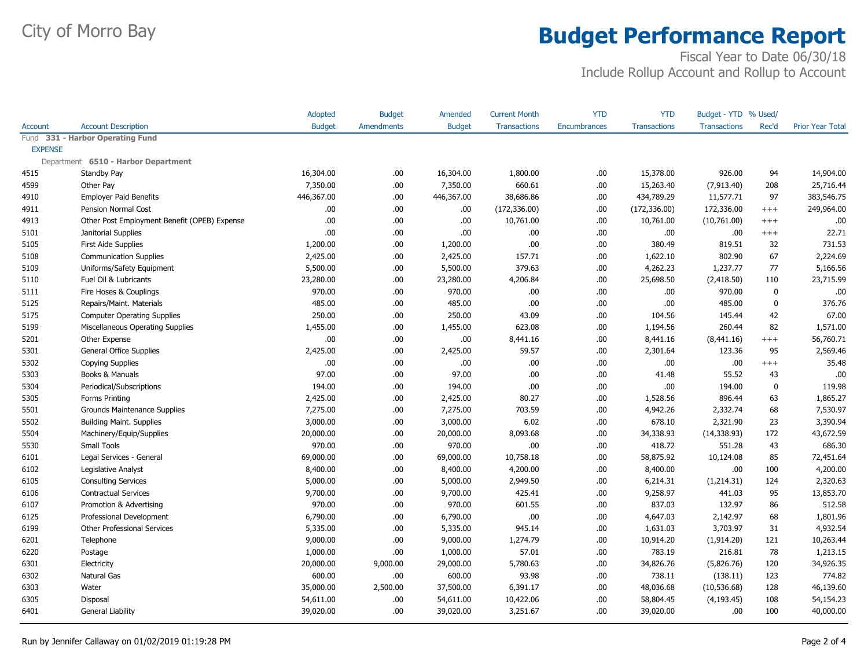|                |                                              | <b>Adopted</b> | <b>Budget</b>     | Amended       | <b>Current Month</b> | <b>YTD</b>          | <b>YTD</b>          | Budget - YTD % Used/ |              |                         |
|----------------|----------------------------------------------|----------------|-------------------|---------------|----------------------|---------------------|---------------------|----------------------|--------------|-------------------------|
| <b>Account</b> | <b>Account Description</b>                   | <b>Budget</b>  | <b>Amendments</b> | <b>Budget</b> | <b>Transactions</b>  | <b>Encumbrances</b> | <b>Transactions</b> | <b>Transactions</b>  | Rec'd        | <b>Prior Year Total</b> |
| Fund           | 331 - Harbor Operating Fund                  |                |                   |               |                      |                     |                     |                      |              |                         |
| <b>EXPENSE</b> |                                              |                |                   |               |                      |                     |                     |                      |              |                         |
|                | Department 6510 - Harbor Department          |                |                   |               |                      |                     |                     |                      |              |                         |
| 4515           | Standby Pay                                  | 16,304.00      | .00               | 16,304.00     | 1,800.00             | .00.                | 15,378.00           | 926.00               | 94           | 14,904.00               |
| 4599           | Other Pay                                    | 7,350.00       | .00               | 7,350.00      | 660.61               | .00                 | 15,263.40           | (7,913.40)           | 208          | 25,716.44               |
| 4910           | <b>Employer Paid Benefits</b>                | 446,367.00     | .00               | 446,367.00    | 38,686.86            | .00.                | 434,789.29          | 11,577.71            | 97           | 383,546.75              |
| 4911           | Pension Normal Cost                          | .00            | .00               | .00.          | (172, 336.00)        | .00                 | (172, 336.00)       | 172,336.00           | $^{+++}$     | 249,964.00              |
| 4913           | Other Post Employment Benefit (OPEB) Expense | .00            | .00               | .00.          | 10,761.00            | .00                 | 10,761.00           | (10,761.00)          | $+++$        | .00                     |
| 5101           | Janitorial Supplies                          | .00            | .00               | .00.          | .00                  | .00                 | .00                 | .00                  | $^{+++}$     | 22.71                   |
| 5105           | First Aide Supplies                          | 1,200.00       | .00.              | 1,200.00      | .00                  | .00.                | 380.49              | 819.51               | 32           | 731.53                  |
| 5108           | <b>Communication Supplies</b>                | 2,425.00       | .00               | 2,425.00      | 157.71               | .00.                | 1,622.10            | 802.90               | 67           | 2,224.69                |
| 5109           | Uniforms/Safety Equipment                    | 5,500.00       | .00               | 5,500.00      | 379.63               | .00                 | 4,262.23            | 1,237.77             | 77           | 5,166.56                |
| 5110           | Fuel Oil & Lubricants                        | 23,280.00      | .00               | 23,280.00     | 4,206.84             | .00                 | 25,698.50           | (2,418.50)           | 110          | 23,715.99               |
| 5111           | Fire Hoses & Couplings                       | 970.00         | .00               | 970.00        | .00                  | .00                 | .00                 | 970.00               | $\pmb{0}$    | .00                     |
| 5125           | Repairs/Maint. Materials                     | 485.00         | .00               | 485.00        | .00                  | .00.                | .00                 | 485.00               | $\mathbf{0}$ | 376.76                  |
| 5175           | <b>Computer Operating Supplies</b>           | 250.00         | .00               | 250.00        | 43.09                | .00                 | 104.56              | 145.44               | 42           | 67.00                   |
| 5199           | Miscellaneous Operating Supplies             | 1,455.00       | .00               | 1,455.00      | 623.08               | .00.                | 1,194.56            | 260.44               | 82           | 1,571.00                |
| 5201           | Other Expense                                | .00            | .00               | .00.          | 8,441.16             | .00.                | 8,441.16            | (8,441.16)           | $^{+++}$     | 56,760.71               |
| 5301           | General Office Supplies                      | 2,425.00       | .00               | 2,425.00      | 59.57                | .00.                | 2,301.64            | 123.36               | 95           | 2,569.46                |
| 5302           | Copying Supplies                             | .00            | .00               | .00.          | .00                  | .00.                | .00                 | .00.                 | $^{+++}$     | 35.48                   |
| 5303           | Books & Manuals                              | 97.00          | .00               | 97.00         | .00                  | .00.                | 41.48               | 55.52                | 43           | .00                     |
| 5304           | Periodical/Subscriptions                     | 194.00         | .00               | 194.00        | .00                  | .00                 | .00                 | 194.00               | 0            | 119.98                  |
| 5305           | Forms Printing                               | 2,425.00       | .00               | 2,425.00      | 80.27                | .00.                | 1,528.56            | 896.44               | 63           | 1,865.27                |
| 5501           | Grounds Maintenance Supplies                 | 7,275.00       | .00.              | 7,275.00      | 703.59               | .00.                | 4,942.26            | 2,332.74             | 68           | 7,530.97                |
| 5502           | <b>Building Maint. Supplies</b>              | 3,000.00       | .00               | 3,000.00      | 6.02                 | .00.                | 678.10              | 2,321.90             | 23           | 3,390.94                |
| 5504           | Machinery/Equip/Supplies                     | 20,000.00      | .00               | 20,000.00     | 8,093.68             | .00                 | 34,338.93           | (14, 338.93)         | 172          | 43,672.59               |
| 5530           | Small Tools                                  | 970.00         | .00               | 970.00        | .00                  | .00.                | 418.72              | 551.28               | 43           | 686.30                  |
| 6101           | Legal Services - General                     | 69,000.00      | .00               | 69,000.00     | 10,758.18            | .00.                | 58,875.92           | 10,124.08            | 85           | 72,451.64               |
| 6102           | Legislative Analyst                          | 8,400.00       | .00               | 8,400.00      | 4,200.00             | .00                 | 8,400.00            | .00.                 | 100          | 4,200.00                |
| 6105           | <b>Consulting Services</b>                   | 5,000.00       | .00               | 5,000.00      | 2,949.50             | .00                 | 6,214.31            | (1,214.31)           | 124          | 2,320.63                |
| 6106           | <b>Contractual Services</b>                  | 9,700.00       | .00               | 9,700.00      | 425.41               | .00.                | 9,258.97            | 441.03               | 95           | 13,853.70               |
| 6107           | Promotion & Advertising                      | 970.00         | .00               | 970.00        | 601.55               | .00                 | 837.03              | 132.97               | 86           | 512.58                  |
| 6125           | Professional Development                     | 6,790.00       | .00               | 6,790.00      | .00                  | .00.                | 4,647.03            | 2,142.97             | 68           | 1,801.96                |
| 6199           | <b>Other Professional Services</b>           | 5,335.00       | .00               | 5,335.00      | 945.14               | .00.                | 1,631.03            | 3,703.97             | 31           | 4,932.54                |
| 6201           | Telephone                                    | 9,000.00       | .00               | 9,000.00      | 1,274.79             | .00.                | 10,914.20           | (1,914.20)           | 121          | 10,263.44               |
| 6220           | Postage                                      | 1,000.00       | .00               | 1,000.00      | 57.01                | .00                 | 783.19              | 216.81               | 78           | 1,213.15                |
| 6301           | Electricity                                  | 20,000.00      | 9,000.00          | 29,000.00     | 5,780.63             | .00.                | 34,826.76           | (5,826.76)           | 120          | 34,926.35               |
| 6302           | Natural Gas                                  | 600.00         | .00               | 600.00        | 93.98                | .00.                | 738.11              | (138.11)             | 123          | 774.82                  |
| 6303           | Water                                        | 35,000.00      | 2,500.00          | 37,500.00     | 6,391.17             | .00.                | 48,036.68           | (10, 536.68)         | 128          | 46,139.60               |
| 6305           | Disposal                                     | 54,611.00      | .00               | 54,611.00     | 10,422.06            | .00.                | 58,804.45           | (4, 193.45)          | 108          | 54,154.23               |
| 6401           | General Liability                            | 39,020.00      | .00               | 39,020.00     | 3,251.67             | .00.                | 39,020.00           | .00.                 | 100          | 40,000.00               |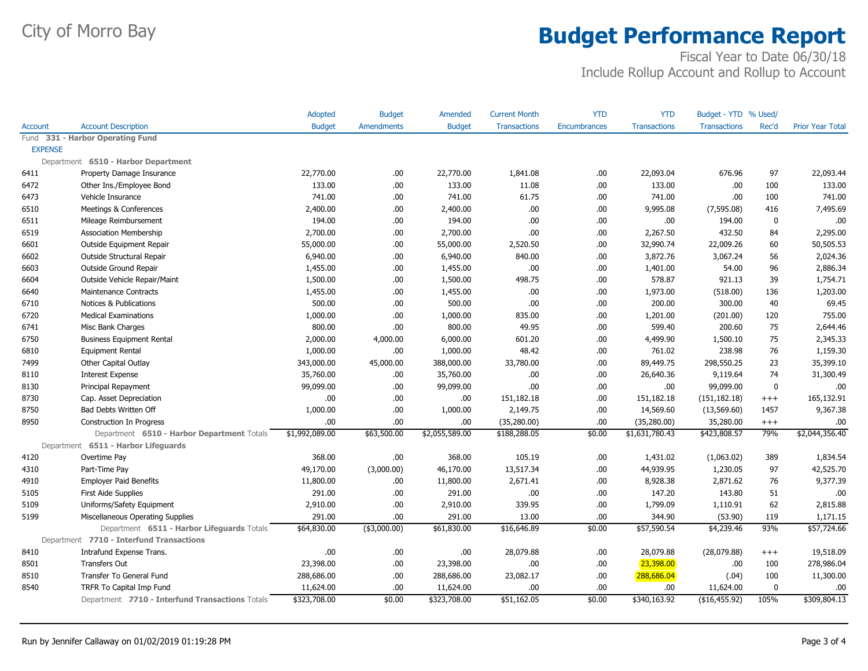|                |                                                 | <b>Adopted</b> | <b>Budget</b>     | Amended        | <b>Current Month</b> | <b>YTD</b>          | <b>YTD</b>          | Budget - YTD % Used/ |          |                         |
|----------------|-------------------------------------------------|----------------|-------------------|----------------|----------------------|---------------------|---------------------|----------------------|----------|-------------------------|
| Account        | <b>Account Description</b>                      | <b>Budget</b>  | <b>Amendments</b> | <b>Budget</b>  | <b>Transactions</b>  | <b>Encumbrances</b> | <b>Transactions</b> | <b>Transactions</b>  | Rec'd    | <b>Prior Year Total</b> |
| Fund           | 331 - Harbor Operating Fund                     |                |                   |                |                      |                     |                     |                      |          |                         |
| <b>EXPENSE</b> |                                                 |                |                   |                |                      |                     |                     |                      |          |                         |
|                | Department 6510 - Harbor Department             |                |                   |                |                      |                     |                     |                      |          |                         |
| 6411           | Property Damage Insurance                       | 22,770.00      | .00               | 22,770.00      | 1,841.08             | .00                 | 22,093.04           | 676.96               | 97       | 22,093.44               |
| 6472           | Other Ins./Employee Bond                        | 133.00         | .00               | 133.00         | 11.08                | .00                 | 133.00              | .00                  | 100      | 133.00                  |
| 6473           | Vehicle Insurance                               | 741.00         | .00               | 741.00         | 61.75                | .00.                | 741.00              | .00                  | 100      | 741.00                  |
| 6510           | Meetings & Conferences                          | 2,400.00       | .00               | 2,400.00       | .00                  | .00.                | 9,995.08            | (7, 595.08)          | 416      | 7,495.69                |
| 6511           | Mileage Reimbursement                           | 194.00         | .00               | 194.00         | .00                  | .00                 | .00                 | 194.00               | 0        | .00                     |
| 6519           | <b>Association Membership</b>                   | 2,700.00       | .00               | 2,700.00       | .00                  | .00.                | 2,267.50            | 432.50               | 84       | 2,295.00                |
| 6601           | Outside Equipment Repair                        | 55,000.00      | .00               | 55,000.00      | 2,520.50             | .00.                | 32,990.74           | 22,009.26            | 60       | 50,505.53               |
| 6602           | Outside Structural Repair                       | 6,940.00       | .00               | 6,940.00       | 840.00               | .00.                | 3,872.76            | 3,067.24             | 56       | 2,024.36                |
| 6603           | Outside Ground Repair                           | 1,455.00       | .00               | 1,455.00       | .00                  | .00                 | 1,401.00            | 54.00                | 96       | 2,886.34                |
| 6604           | Outside Vehicle Repair/Maint                    | 1,500.00       | .00               | 1,500.00       | 498.75               | .00.                | 578.87              | 921.13               | 39       | 1,754.71                |
| 6640           | Maintenance Contracts                           | 1,455.00       | .00               | 1,455.00       | .00                  | .00.                | 1,973.00            | (518.00)             | 136      | 1,203.00                |
| 6710           | Notices & Publications                          | 500.00         | .00               | 500.00         | .00                  | .00.                | 200.00              | 300.00               | 40       | 69.45                   |
| 6720           | <b>Medical Examinations</b>                     | 1,000.00       | .00               | 1,000.00       | 835.00               | .00                 | 1,201.00            | (201.00)             | 120      | 755.00                  |
| 6741           | Misc Bank Charges                               | 800.00         | .00               | 800.00         | 49.95                | .00                 | 599.40              | 200.60               | 75       | 2,644.46                |
| 6750           | <b>Business Equipment Rental</b>                | 2,000.00       | 4,000.00          | 6,000.00       | 601.20               | .00.                | 4,499.90            | 1,500.10             | 75       | 2,345.33                |
| 6810           | <b>Equipment Rental</b>                         | 1,000.00       | .00               | 1,000.00       | 48.42                | .00.                | 761.02              | 238.98               | 76       | 1,159.30                |
| 7499           | Other Capital Outlay                            | 343,000.00     | 45,000.00         | 388,000.00     | 33,780.00            | .00                 | 89,449.75           | 298,550.25           | 23       | 35,399.10               |
| 8110           | <b>Interest Expense</b>                         | 35,760.00      | .00               | 35,760.00      | .00                  | .00.                | 26,640.36           | 9,119.64             | 74       | 31,300.49               |
| 8130           | Principal Repayment                             | 99,099.00      | .00               | 99,099.00      | .00                  | .00.                | .00                 | 99,099.00            | 0        | .00                     |
| 8730           | Cap. Asset Depreciation                         | .00            | .00               | .00.           | 151,182.18           | .00.                | 151,182.18          | (151, 182.18)        | $^{+++}$ | 165,132.91              |
| 8750           | Bad Debts Written Off                           | 1,000.00       | .00               | 1,000.00       | 2,149.75             | .00.                | 14,569.60           | (13,569.60)          | 1457     | 9,367.38                |
| 8950           | <b>Construction In Progress</b>                 | .00            | .00               | .00.           | (35, 280.00)         | .00.                | (35, 280.00)        | 35,280.00            | $^{+++}$ | .00                     |
|                | Department 6510 - Harbor Department Totals      | \$1,992,089.00 | \$63,500.00       | \$2,055,589.00 | \$188,288.05         | \$0.00              | \$1,631,780.43      | \$423,808.57         | 79%      | \$2,044,356.40          |
|                | Department 6511 - Harbor Lifeguards             |                |                   |                |                      |                     |                     |                      |          |                         |
| 4120           | Overtime Pay                                    | 368.00         | .00               | 368.00         | 105.19               | .00.                | 1,431.02            | (1,063.02)           | 389      | 1,834.54                |
| 4310           | Part-Time Pay                                   | 49,170.00      | (3,000.00)        | 46,170.00      | 13,517.34            | .00.                | 44,939.95           | 1,230.05             | 97       | 42,525.70               |
| 4910           | <b>Employer Paid Benefits</b>                   | 11,800.00      | .00               | 11,800.00      | 2,671.41             | .00.                | 8,928.38            | 2,871.62             | 76       | 9,377.39                |
| 5105           | First Aide Supplies                             | 291.00         | .00               | 291.00         | .00                  | .00.                | 147.20              | 143.80               | 51       | .00                     |
| 5109           | Uniforms/Safety Equipment                       | 2,910.00       | .00               | 2,910.00       | 339.95               | .00                 | 1,799.09            | 1,110.91             | 62       | 2,815.88                |
| 5199           | Miscellaneous Operating Supplies                | 291.00         | .00               | 291.00         | 13.00                | .00.                | 344.90              | (53.90)              | 119      | 1,171.15                |
|                | Department 6511 - Harbor Lifeguards Totals      | \$64,830.00    | ( \$3,000.00)     | \$61,830.00    | \$16,646.89          | \$0.00              | \$57,590.54         | \$4,239.46           | 93%      | \$57,724.66             |
|                | Department 7710 - Interfund Transactions        |                |                   |                |                      |                     |                     |                      |          |                         |
| 8410           | Intrafund Expense Trans.                        | .00            | .00               | .00.           | 28,079.88            | .00                 | 28,079.88           | (28,079.88)          | $^{+++}$ | 19,518.09               |
| 8501           | <b>Transfers Out</b>                            | 23,398.00      | .00               | 23,398.00      | .00                  | .00                 | 23,398.00           | .00.                 | 100      | 278,986.04              |
| 8510           | Transfer To General Fund                        | 288,686.00     | .00               | 288,686.00     | 23,082.17            | .00.                | 288,686.04          | (.04)                | 100      | 11,300.00               |
| 8540           | TRFR To Capital Imp Fund                        | 11,624.00      | .00               | 11,624.00      | .00                  | .00.                | .00                 | 11,624.00            | $\Omega$ | .00                     |
|                | Department 7710 - Interfund Transactions Totals | \$323,708.00   | \$0.00            | \$323,708.00   | \$51,162.05          | \$0.00              | \$340,163.92        | (\$16,455.92)        | 105%     | \$309,804.13            |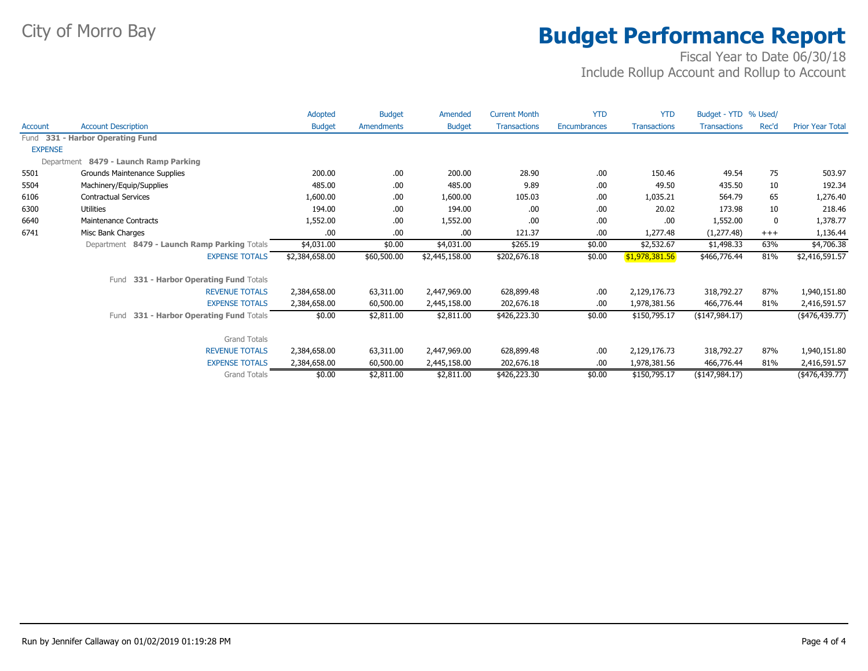|                |                                              | Adopted        | <b>Budget</b>     | Amended        | <b>Current Month</b> | <b>YTD</b>   | <b>YTD</b>          | Budget - YTD % Used/ |          |                         |
|----------------|----------------------------------------------|----------------|-------------------|----------------|----------------------|--------------|---------------------|----------------------|----------|-------------------------|
| <b>Account</b> | <b>Account Description</b>                   | <b>Budget</b>  | <b>Amendments</b> | <b>Budget</b>  | <b>Transactions</b>  | Encumbrances | <b>Transactions</b> | <b>Transactions</b>  | Rec'd    | <b>Prior Year Total</b> |
|                | Fund 331 - Harbor Operating Fund             |                |                   |                |                      |              |                     |                      |          |                         |
| <b>EXPENSE</b> |                                              |                |                   |                |                      |              |                     |                      |          |                         |
|                | Department 8479 - Launch Ramp Parking        |                |                   |                |                      |              |                     |                      |          |                         |
| 5501           | Grounds Maintenance Supplies                 | 200.00         | .00               | 200.00         | 28.90                | .00          | 150.46              | 49.54                | 75       | 503.97                  |
| 5504           | Machinery/Equip/Supplies                     | 485.00         | .00               | 485.00         | 9.89                 | .00          | 49.50               | 435.50               | 10       | 192.34                  |
| 6106           | <b>Contractual Services</b>                  | 1,600.00       | .00               | 1,600.00       | 105.03               | .00          | 1,035.21            | 564.79               | 65       | 1,276.40                |
| 6300           | Utilities                                    | 194.00         | .00.              | 194.00         | .00                  | .00          | 20.02               | 173.98               | 10       | 218.46                  |
| 6640           | Maintenance Contracts                        | 1,552.00       | .00               | 1,552.00       | .00                  | .00          | .00                 | 1,552.00             | 0        | 1,378.77                |
| 6741           | Misc Bank Charges                            | .00            | .00               | .00.           | 121.37               | .00          | 1,277.48            | (1, 277.48)          | $^{+++}$ | 1,136.44                |
|                | Department 8479 - Launch Ramp Parking Totals | \$4,031.00     | \$0.00            | \$4,031.00     | \$265.19             | \$0.00       | \$2,532.67          | \$1,498.33           | 63%      | \$4,706.38              |
|                | <b>EXPENSE TOTALS</b>                        | \$2,384,658.00 | \$60,500.00       | \$2,445,158.00 | \$202,676.18         | \$0.00       | \$1,978,381.56      | \$466,776.44         | 81%      | \$2,416,591.57          |
|                | 331 - Harbor Operating Fund Totals<br>Fund   |                |                   |                |                      |              |                     |                      |          |                         |
|                | <b>REVENUE TOTALS</b>                        | 2,384,658.00   | 63,311.00         | 2,447,969.00   | 628,899.48           | .00          | 2,129,176.73        | 318,792.27           | 87%      | 1,940,151.80            |
|                | <b>EXPENSE TOTALS</b>                        | 2,384,658.00   | 60,500.00         | 2,445,158.00   | 202,676.18           | .00          | 1,978,381.56        | 466,776.44           | 81%      | 2,416,591.57            |
|                | 331 - Harbor Operating Fund Totals<br>Fund   | \$0.00         | \$2,811.00        | \$2,811.00     | \$426,223.30         | \$0.00       | \$150,795.17        | $($ \$147,984.17)    |          | $(*476,439.77)$         |
|                |                                              |                |                   |                |                      |              |                     |                      |          |                         |
|                | <b>Grand Totals</b>                          |                |                   |                |                      |              |                     |                      |          |                         |
|                | <b>REVENUE TOTALS</b>                        | 2,384,658.00   | 63,311.00         | 2,447,969.00   | 628,899.48           | .00          | 2,129,176.73        | 318,792.27           | 87%      | 1,940,151.80            |
|                | <b>EXPENSE TOTALS</b>                        | 2,384,658.00   | 60,500.00         | 2,445,158.00   | 202,676.18           | .00          | 1,978,381.56        | 466,776.44           | 81%      | 2,416,591.57            |
|                | <b>Grand Totals</b>                          | \$0.00         | \$2,811.00        | \$2,811.00     | \$426,223.30         | \$0.00       | \$150,795.17        | ( \$147, 984.17)     |          | $($ \$476,439.77)       |
|                |                                              |                |                   |                |                      |              |                     |                      |          |                         |